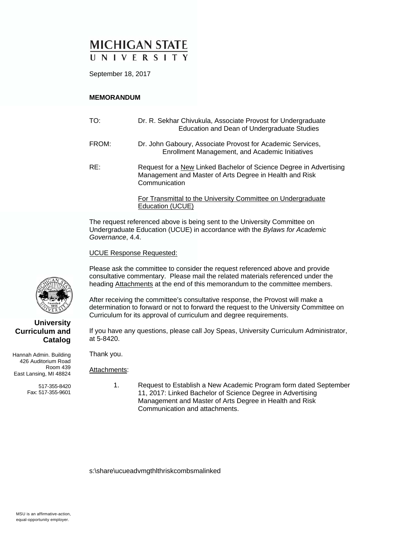# **MICHIGAN STATE** UNIVERSITY

September 18, 2017

### **MEMORANDUM**

| TO:   | Dr. R. Sekhar Chivukula, Associate Provost for Undergraduate<br>Education and Dean of Undergraduate Studies                                    |
|-------|------------------------------------------------------------------------------------------------------------------------------------------------|
| FROM: | Dr. John Gaboury, Associate Provost for Academic Services,<br>Enrollment Management, and Academic Initiatives                                  |
| RE:   | Request for a New Linked Bachelor of Science Degree in Advertising<br>Management and Master of Arts Degree in Health and Risk<br>Communication |
|       | For Transmittal to the University Committee on Undergraduate<br>Education (UCUE)                                                               |

The request referenced above is being sent to the University Committee on Undergraduate Education (UCUE) in accordance with the *Bylaws for Academic Governance*, 4.4.

UCUE Response Requested:

Please ask the committee to consider the request referenced above and provide consultative commentary. Please mail the related materials referenced under the heading Attachments at the end of this memorandum to the committee members.

After receiving the committee's consultative response, the Provost will make a determination to forward or not to forward the request to the University Committee on Curriculum for its approval of curriculum and degree requirements.

If you have any questions, please call Joy Speas, University Curriculum Administrator, at 5-8420.

Hannah Admin. Building 426 Auditorium Road Room 439 East Lansing, MI 48824

> 517-355-8420 Fax: 517-355-9601

Thank you.

Attachments:

 1. Request to Establish a New Academic Program form dated September 11, 2017: Linked Bachelor of Science Degree in Advertising Management and Master of Arts Degree in Health and Risk Communication and attachments.

s:\share\ucueadvmgthlthriskcombsmalinked

**University Curriculum and** 

**Catalog**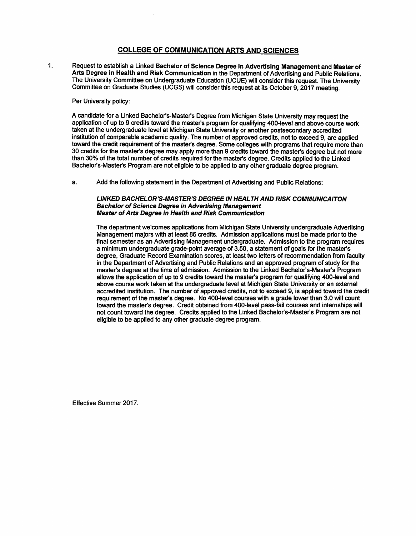### **COLLEGE OF COMMUNICATION ARTS AND SCIENCES**

Request to establish a Linked Bachelor of Science Degree in Advertising Management and Master of  $\mathbf{1}$ Arts Degree in Health and Risk Communication in the Department of Advertising and Public Relations. The University Committee on Undergraduate Education (UCUE) will consider this request. The University Committee on Graduate Studies (UCGS) will consider this request at its October 9, 2017 meeting.

#### Per University policy:

A candidate for a Linked Bachelor's-Master's Degree from Michigan State University may request the application of up to 9 credits toward the master's program for qualifying 400-level and above course work taken at the undergraduate level at Michigan State University or another postsecondary accredited institution of comparable academic quality. The number of approved credits, not to exceed 9, are applied toward the credit requirement of the master's degree. Some colleges with programs that require more than 30 credits for the master's degree may apply more than 9 credits toward the master's degree but not more than 30% of the total number of credits required for the master's degree. Credits applied to the Linked Bachelor's-Master's Program are not eligible to be applied to any other graduate degree program.

a. Add the following statement in the Department of Advertising and Public Relations:

#### **LINKED BACHELOR'S-MASTER'S DEGREE IN HEALTH AND RISK COMMUNICAITON Bachelor of Science Degree in Advertising Management Master of Arts Degree in Health and Risk Communication**

The department welcomes applications from Michigan State University undergraduate Advertising Management majors with at least 86 credits. Admission applications must be made prior to the final semester as an Advertising Management undergraduate. Admission to the program requires a minimum undergraduate grade-point average of 3.50, a statement of goals for the master's degree, Graduate Record Examination scores, at least two letters of recommendation from faculty in the Department of Advertising and Public Relations and an approved program of study for the master's degree at the time of admission. Admission to the Linked Bachelor's-Master's Program allows the application of up to 9 credits toward the master's program for qualifying 400-level and above course work taken at the undergraduate level at Michigan State University or an external accredited institution. The number of approved credits, not to exceed 9, is applied toward the credit requirement of the master's degree. No 400-level courses with a grade lower than 3.0 will count toward the master's degree. Credit obtained from 400-level pass-fail courses and internships will not count toward the degree. Credits applied to the Linked Bachelor's-Master's Program are not eligible to be applied to any other graduate degree program.

Effective Summer 2017.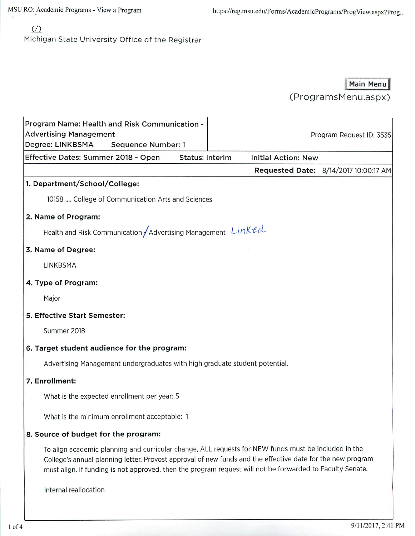MSU RO: Academic Programs - View a Program

https://reg.msu.edu/Forms/AcademicPrograms/ProgView.aspx?Prog...

# $\sqrt{2}$

Michigan State University Office of the Registrar

## Main Menu

(ProgramsMenu.aspx)

| Program Name: Health and Risk Communication -<br><b>Advertising Management</b><br>Degree: LINKBSMA<br>Sequence Number: 1                                                                                                                                                                                                        | Program Request ID: 3535              |  |  |
|---------------------------------------------------------------------------------------------------------------------------------------------------------------------------------------------------------------------------------------------------------------------------------------------------------------------------------|---------------------------------------|--|--|
| Effective Dates: Summer 2018 - Open<br><b>Status: Interim</b><br><b>Initial Action: New</b>                                                                                                                                                                                                                                     |                                       |  |  |
|                                                                                                                                                                                                                                                                                                                                 | Requested Date: 8/14/2017 10:00:17 AM |  |  |
| 1. Department/School/College:                                                                                                                                                                                                                                                                                                   |                                       |  |  |
| 10158  College of Communication Arts and Sciences                                                                                                                                                                                                                                                                               |                                       |  |  |
| 2. Name of Program:                                                                                                                                                                                                                                                                                                             |                                       |  |  |
| Health and Risk Communication / Advertising Management $Linkecl$                                                                                                                                                                                                                                                                |                                       |  |  |
| 3. Name of Degree:                                                                                                                                                                                                                                                                                                              |                                       |  |  |
| LINKBSMA                                                                                                                                                                                                                                                                                                                        |                                       |  |  |
| 4. Type of Program:                                                                                                                                                                                                                                                                                                             |                                       |  |  |
| Major                                                                                                                                                                                                                                                                                                                           |                                       |  |  |
| 5. Effective Start Semester:                                                                                                                                                                                                                                                                                                    |                                       |  |  |
| Summer 2018                                                                                                                                                                                                                                                                                                                     |                                       |  |  |
| 6. Target student audience for the program:                                                                                                                                                                                                                                                                                     |                                       |  |  |
| Advertising Management undergraduates with high graduate student potential.                                                                                                                                                                                                                                                     |                                       |  |  |
| 7. Enrollment:                                                                                                                                                                                                                                                                                                                  |                                       |  |  |
| What is the expected enrollment per year: 5                                                                                                                                                                                                                                                                                     |                                       |  |  |
| What is the minimum enrollment acceptable: 1                                                                                                                                                                                                                                                                                    |                                       |  |  |
| 8. Source of budget for the program:                                                                                                                                                                                                                                                                                            |                                       |  |  |
| To align academic planning and curricular change, ALL requests for NEW funds must be included in the<br>College's annual planning letter. Provost approval of new funds and the effective date for the new program<br>must align. If funding is not approved, then the program request will not be forwarded to Faculty Senate. |                                       |  |  |
| Internal reallocation                                                                                                                                                                                                                                                                                                           |                                       |  |  |
|                                                                                                                                                                                                                                                                                                                                 |                                       |  |  |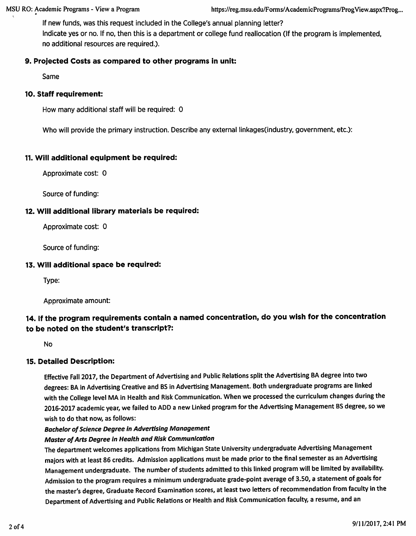If new funds, was this request included in the College's annual planning letter? Indicate yes or no. If no, then this is a department or college fund reallocation (If the program is implemented, no additional resources are required.).

## 9. Projected Costs as compared to other programs in unit:

Same

### 10. Staff requirement:

How many additional staff will be required: 0

Who will provide the primary instruction. Describe any external linkages (industry, government, etc.):

### 11. Will additional equipment be required:

Approximate cost: 0

Source of funding:

### 12. Will additional library materials be required:

Approximate cost: 0

Source of funding:

### 13. Will additional space be required:

Type:

Approximate amount:

## 14. If the program requirements contain a named concentration, do you wish for the concentration to be noted on the student's transcript?:

**No** 

### **15. Detailed Description:**

Effective Fall 2017, the Department of Advertising and Public Relations split the Advertising BA degree into two degrees: BA in Advertising Creative and BS in Advertising Management. Both undergraduate programs are linked with the College level MA in Health and Risk Communication. When we processed the curriculum changes during the 2016-2017 academic year, we failed to ADD a new Linked program for the Advertising Management BS degree, so we wish to do that now, as follows:

### **Bachelor of Science Degree in Advertising Management**

## Master of Arts Degree in Health and Risk Communication

The department welcomes applications from Michigan State University undergraduate Advertising Management majors with at least 86 credits. Admission applications must be made prior to the final semester as an Advertising Management undergraduate. The number of students admitted to this linked program will be limited by availability. Admission to the program requires a minimum undergraduate grade-point average of 3.50, a statement of goals for the master's degree, Graduate Record Examination scores, at least two letters of recommendation from faculty in the Department of Advertising and Public Relations or Health and Risk Communication faculty, a resume, and an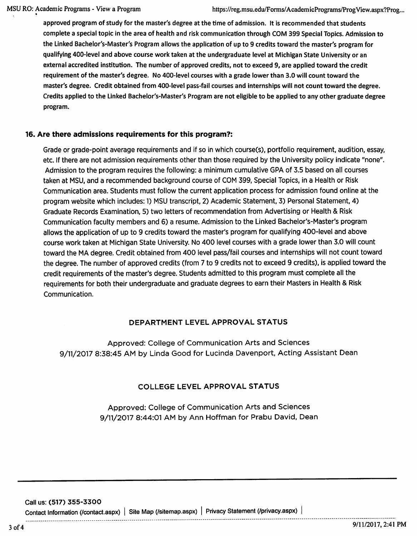approved program of study for the master's degree at the time of admission. It is recommended that students complete a special topic in the area of health and risk communication through COM 399 Special Topics. Admission to the Linked Bachelor's-Master's Program allows the application of up to 9 credits toward the master's program for qualifying 400-level and above course work taken at the undergraduate level at Michigan State University or an external accredited institution. The number of approved credits, not to exceed 9, are applied toward the credit requirement of the master's degree. No 400-level courses with a grade lower than 3.0 will count toward the master's degree. Credit obtained from 400-level pass-fail courses and internships will not count toward the degree. Credits applied to the Linked Bachelor's-Master's Program are not eligible to be applied to any other graduate degree program.

### 16. Are there admissions requirements for this program?:

Grade or grade-point average requirements and if so in which course(s), portfolio requirement, audition, essay, etc. If there are not admission requirements other than those required by the University policy indicate "none". Admission to the program requires the following: a minimum cumulative GPA of 3.5 based on all courses taken at MSU, and a recommended background course of COM 399, Special Topics, in a Health or Risk Communication area. Students must follow the current application process for admission found online at the program website which includes: 1) MSU transcript, 2) Academic Statement, 3) Personal Statement, 4) Graduate Records Examination, 5) two letters of recommendation from Advertising or Health & Risk Communication faculty members and 6) a resume. Admission to the Linked Bachelor's-Master's program allows the application of up to 9 credits toward the master's program for qualifying 400-level and above course work taken at Michigan State University. No 400 level courses with a grade lower than 3.0 will count toward the MA degree. Credit obtained from 400 level pass/fail courses and internships will not count toward the degree. The number of approved credits (from 7 to 9 credits not to exceed 9 credits), is applied toward the credit requirements of the master's degree. Students admitted to this program must complete all the requirements for both their undergraduate and graduate degrees to earn their Masters in Health & Risk Communication.

### DEPARTMENT LEVEL APPROVAL STATUS

Approved: College of Communication Arts and Sciences 9/11/2017 8:38:45 AM by Linda Good for Lucinda Davenport, Acting Assistant Dean

## COLLEGE LEVEL APPROVAL STATUS

Approved: College of Communication Arts and Sciences 9/11/2017 8:44:01 AM by Ann Hoffman for Prabu David, Dean

Call us: (517) 355-3300

Contact Information (/contact.aspx) | Site Map (/sitemap.aspx) | Privacy Statement (/privacy.aspx) |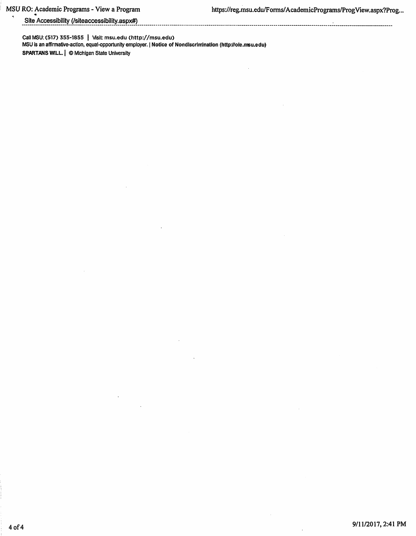## Site Accessibility (/siteaccessibility.aspx#)

Call MSU: (517) 355-1855 | Visit: msu.edu (http://msu.edu) MSU is an affirmative-action, equal-opportunity employer. | Notice of Nondiscrimination (http://oie.msu.edu) SPARTANS WILL. | © Michigan State University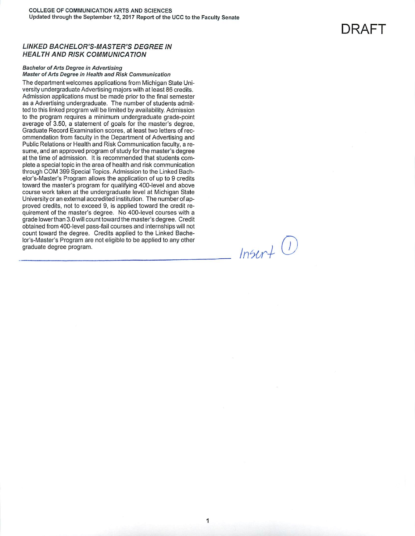### **LINKED BACHELOR'S-MASTER'S DEGREE IN HEALTH AND RISK COMMUNICATION**

#### **Bachelor of Arts Degree in Advertising** Master of Arts Degree in Health and Risk Communication

The department welcomes applications from Michigan State University undergraduate Advertising majors with at least 86 credits. Admission applications must be made prior to the final semester as a Advertising undergraduate. The number of students admitted to this linked program will be limited by availability. Admission to the program requires a minimum undergraduate grade-point average of 3.50, a statement of goals for the master's degree, Graduate Record Examination scores, at least two letters of recommendation from faculty in the Department of Advertising and Public Relations or Health and Risk Communication faculty, a resume, and an approved program of study for the master's degree at the time of admission. It is recommended that students complete a special topic in the area of health and risk communication through COM 399 Special Topics. Admission to the Linked Bachelor's-Master's Program allows the application of up to 9 credits toward the master's program for qualifying 400-level and above course work taken at the undergraduate level at Michigan State University or an external accredited institution. The number of approved credits, not to exceed 9, is applied toward the credit requirement of the master's degree. No 400-level courses with a grade lower than 3.0 will count toward the master's degree. Credit obtained from 400-level pass-fail courses and internships will not count toward the degree. Credits applied to the Linked Bachelor's-Master's Program are not eligible to be applied to any other graduate degree program.

 $Instrf$   $()$ 

DRAFT

1